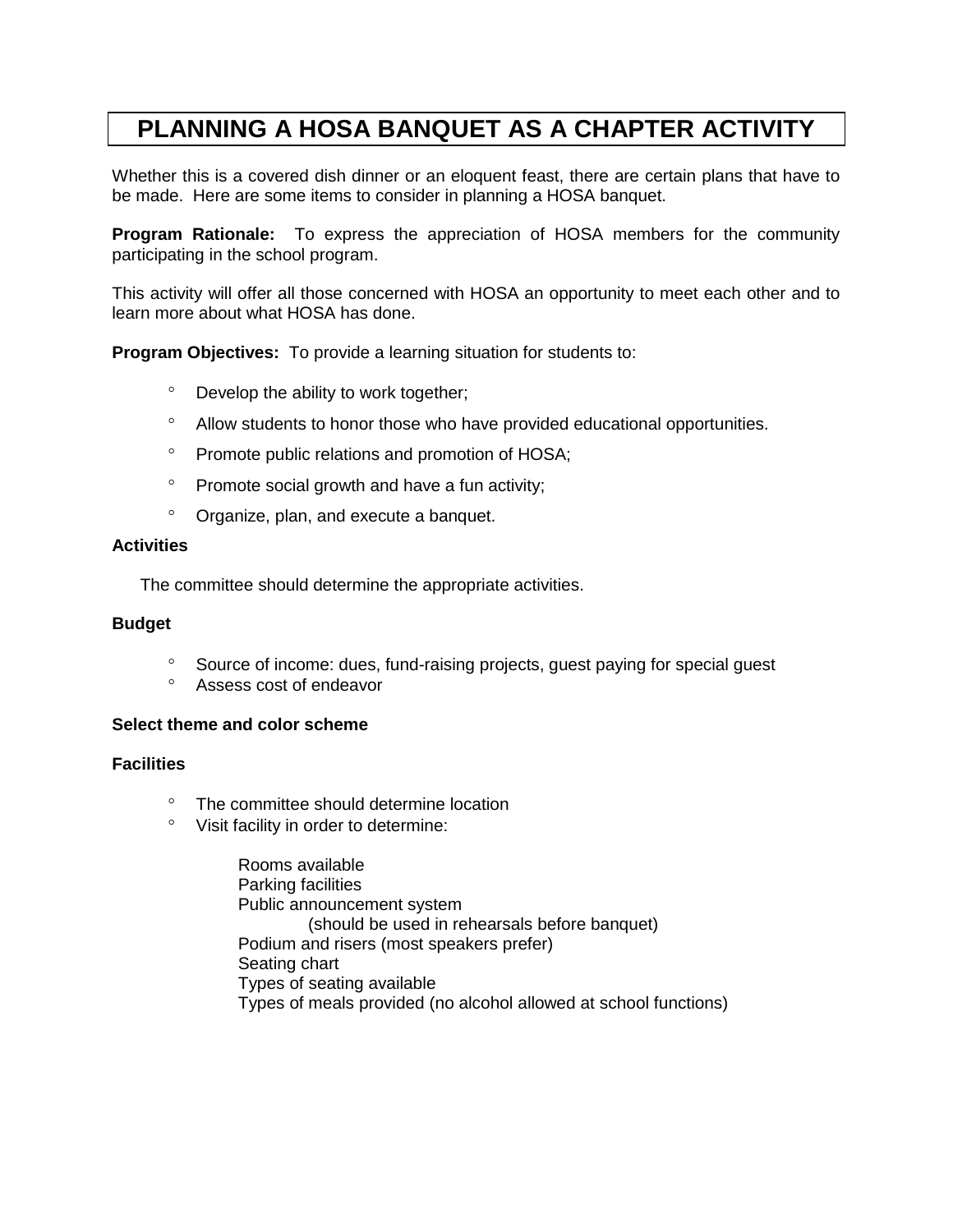# **PLANNING A HOSA BANQUET AS A CHAPTER ACTIVITY**

Whether this is a covered dish dinner or an eloquent feast, there are certain plans that have to be made. Here are some items to consider in planning a HOSA banquet.

**Program Rationale:** To express the appreciation of HOSA members for the community participating in the school program.

This activity will offer all those concerned with HOSA an opportunity to meet each other and to learn more about what HOSA has done.

**Program Objectives:** To provide a learning situation for students to:

- Develop the ability to work together;
- Allow students to honor those who have provided educational opportunities.
- <sup>o</sup> Promote public relations and promotion of HOSA;
- $\degree$  Promote social growth and have a fun activity;
- Organize, plan, and execute a banquet.

#### **Activities**

The committee should determine the appropriate activities.

#### **Budget**

- <sup>o</sup> Source of income: dues, fund-raising projects, guest paying for special guest
- Assess cost of endeavor

#### **Select theme and color scheme**

## **Facilities**

- <sup>o</sup> The committee should determine location
- Visit facility in order to determine:

Rooms available Parking facilities Public announcement system (should be used in rehearsals before banquet) Podium and risers (most speakers prefer) Seating chart Types of seating available Types of meals provided (no alcohol allowed at school functions)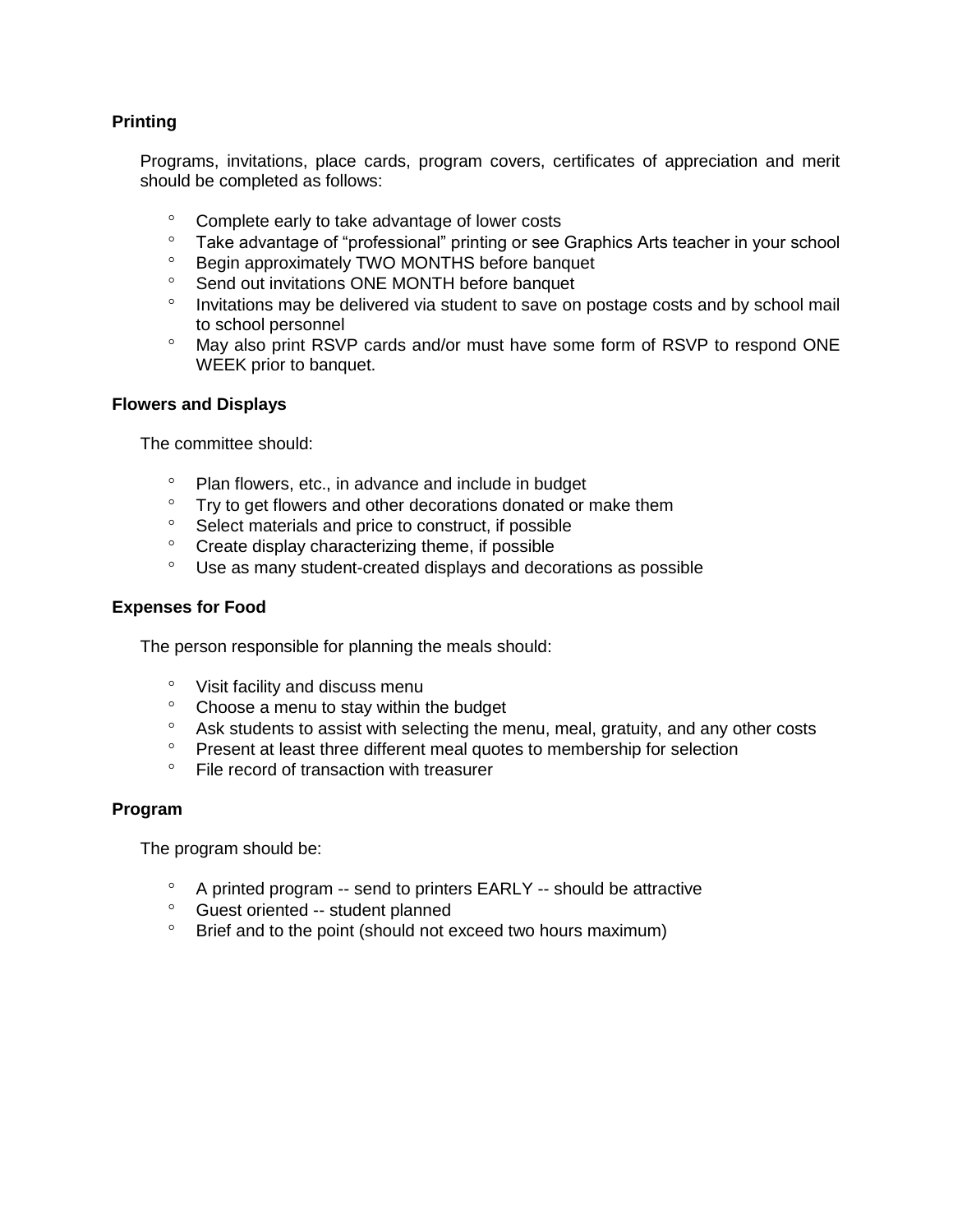# **Printing**

Programs, invitations, place cards, program covers, certificates of appreciation and merit should be completed as follows:

- Complete early to take advantage of lower costs
- <sup>o</sup> Take advantage of "professional" printing or see Graphics Arts teacher in your school<br>
<sup>o</sup> Begin approximately TWO MONTHS before banquet
- Begin approximately TWO MONTHS before banquet
- <sup>o</sup> Send out invitations ONE MONTH before banquet
- <sup>o</sup> Invitations may be delivered via student to save on postage costs and by school mail to school personnel
- May also print RSVP cards and/or must have some form of RSVP to respond ONE WEEK prior to banquet.

## **Flowers and Displays**

The committee should:

- Plan flowers, etc., in advance and include in budget
- Try to get flowers and other decorations donated or make them
- <sup>o</sup> Select materials and price to construct, if possible
- <sup>o</sup> Create display characterizing theme, if possible
- Use as many student-created displays and decorations as possible

## **Expenses for Food**

The person responsible for planning the meals should:

- Visit facility and discuss menu
- Choose a menu to stay within the budget
- <sup>o</sup> Ask students to assist with selecting the menu, meal, gratuity, and any other costs
- <sup>o</sup> Present at least three different meal quotes to membership for selection
- File record of transaction with treasurer

#### **Program**

The program should be:

- A printed program -- send to printers EARLY -- should be attractive
- Guest oriented -- student planned
- <sup>o</sup> Brief and to the point (should not exceed two hours maximum)